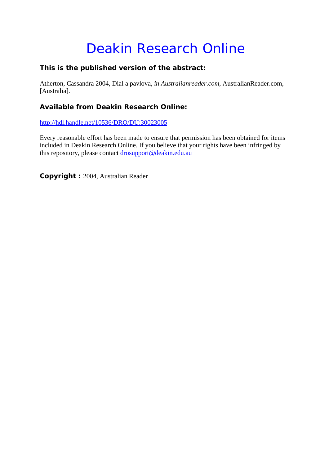## Deakin Research Online

## **This is the published version of the abstract:**

Atherton, Cassandra 2004, Dial a pavlova*, in Australianreader.com*, AustralianReader.com, [Australia].

## **Available from Deakin Research Online:**

http://hdl.handle.net/10536/DRO/DU:30023005

Every reasonable effort has been made to ensure that permission has been obtained for items included in Deakin Research Online. If you believe that your rights have been infringed by this repository, please contact drosupport@deakin.edu.au

**Copyright :** 2004, Australian Reader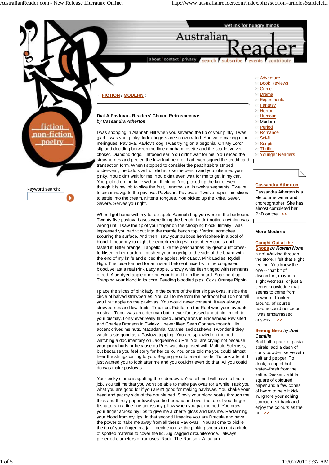

I place the slices of pink lady in the centre of the first six pavlovas. Inside the circle of halved strawberries. You call to me from the bedroom but I do not tell you I put apple on the pavlovas. You would never consent. It was always strawberries and kiwi fruits. Tradition. Fiddler on the Roof was your favourite musical. Topol was an older man but I never fantasised about him, much to your dismay. I only ever really fancied Jeremy Irons in Brideshead Revisited and Charles Bronson in Twinky. I never liked Sean Connery though. His accent drives me nuts. Macadamia. Caramelised cashews. I wonder if they would taste good as a Pavlova topping. You are sprawled on the bed watching a documentary on Jacqueline du Pre. You are crying not because your pinky hurts or because du Pres was diagnosed with Multiple Sclerosis, but because you feel sorry for her cello. You once told me you could almost hear the strings calling to you. Begging you to take it inside. To look after it. I just wanted you to look after me and you couldn't even do that. All you could do was make pavlovas.

Your pinky stump is spotting the eiderdown. You tell me I will have to find a job. You tell me that you won't be able to make pavlovas for a while. I ask you what you are good for if you aren't good for making pavlovas. You shake your head and pat my side of the double bed. Slowly your blood soaks through the thick and thirsty paper towel you tied around and over the top of your finger. It spatters in a fine line across my pillow when you pat the bed. You draw your finger across my lips to give me a cherry gloss and kiss me. Reclaiming your blood from my lips. In that second I imagine you are Dracula and have the power to "take me away from all these Pavlovas". You ask me to pickle the tip of your finger in a jar. I decide to use the pinking shears to cut a circle of spotted material to cover the lid. Zig Zagged circumference. I always preferred diameters or radiuses. Radii. The Radison. A radium.

## **Seeing Nero** *by Joel Camille*

seems to come from nowhere. I looked around, of course no-one could notice but I was embarrassed anyway.... $\geq$ 

Boil half a pack of pasta spirals, add a dash of curry powder; serve with salt and pepper. To drink, a cup of hot water--fresh from the kettle. Dessert: a little square of coloured paper and a few cones of hydro to help it kick in. Ignore your aching stomach--sit back and enjoy the colours as the hi...  $\geq$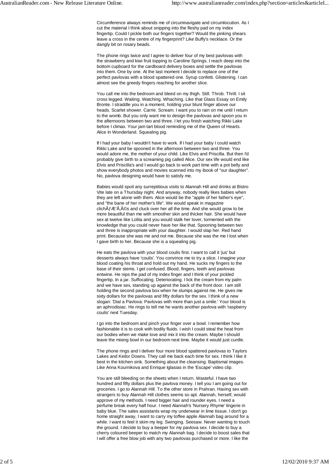Circumference always reminds me of circumnavigate and circumlocution. As I cut the material I think about snipping into the fleshy pad on my index fingertip. Could I pickle both our fingers together? Would the pinking shears leave a cross in the centre of my fingerprint? Like Buffy's necklace. Or the dangly bit on rosary beads.

The phone rings twice and I agree to deliver four of my best pavlovas with the strawberry and kiwi fruit topping to Caroline Springs. I reach deep into the bottom cupboard for the cardboard delivery boxes and settle the pavlovas into them. One by one. At the last moment I decide to replace one of the perfect pavlovas with a blood spattered one. Syrup confetti. Glistening. I can almost see the greedy fingers reaching for another slice.

You call me into the bedroom and bleed on my thigh. Still. Throb. Thrill. I sit cross legged. Waiting. Watching. Whaching. Like that Glass Essay on Emily Bronte. I straddle you in a moment, holding your blunt finger above our heads. Scarlet shower. Carrie. Scream. I want you to rain on me until I return to the womb. But you only want me to design the pavlovas and spoon you in the afternoons between two and three. I let you finish watching Rikki Lake before I climax. Your jam tart blood reminding me of the Queen of Hearts. Alice In Wonderland. Squealing pig.

If I had your baby I wouldn't have to work. If I had your baby I could watch Rikki Lake and be spooned in the afternoon between two and three. You would adore me, the mother of your child. Like Elvis and Priscilla. But then I'd probably give birth to a screaming pig called Alice. Our sex life would end like Elvis and Priscilla's and I would go back to work part time with a pot belly and show everybody photos and movies scanned into my ibook of "our daughter". No, pavlova designing would have to satisfy me.

Babies would spoil any surreptitious visits to Alannah Hill and drinks at Bistro Vite late on a Thursday night. And anyway, nobody really likes babies when they are left alone with them. Alice would be the "apple of her father's eye", and "the bane of her mother's life". We would speak in magazine clich $\tilde{A}f$   $\tilde{A}$ :  $\tilde{A}$ ,  $\hat{A}$ ©s and cluck over her all the time. And she would grow to be more beautiful than me with smoother skin and thicker hair. She would have sex at twelve like Lolita and you would stalk her lover, tormented with the knowledge that you could never have her like that. Spooning between two and three is inappropriate with your daughter. I would slap her. Red hand print. Because she was me and not me. Because she was the me I lost when I gave birth to her. Because she is a squealing pig.

He eats the pavlova with your blood coulis first. I want to call it 'jus' but desserts always have 'coulis'. You convince me to try a slice. I imagine your blood coating his throat and hold out my hand. He sucks my fingers to the base of their stems. I get confused. Blood, fingers, teeth and pavlovas entwine. He nips the pad of my index finger and I think of your pickled fingertip. In a jar. Suffocating. Deteriorating. I lick the cream from my palm and we have sex, standing up against the back of the front door. I am still holding the second pavlova box when he slumps against me. He gives me sixty dollars for the pavlovas and fifty dollars for the sex. I think of a new slogan: 'Dial a Pavlova: Pavlovas with more than just a smile.' Your blood is an aphrodisiac. He rings to tell me he wants another pavlova with 'raspberry coulis' next Tuesday.

I go into the bedroom and pinch your finger over a bowl. I remember how fashionable it is to cook with bodily fluids. I wish I could steal the heat from our bodies when we make love and mix it into the cream. Maybe I should leave the mixing bowl in our bedroom next time. Maybe it would just curdle.

The phone rings and I deliver four more blood spattered pavlovas to Taylors Lakes and Keilor Downs. They call me back each time for sex. I think I like it best in the kitchen sink. Something about the cleansing. Baptismal images. Like Anna Kournikova and Enrique Iglasias in the 'Escape' video clip.

You are still bleeding on the sheets when I return. Wasteful. I have two hundred and fifty dollars plus the pavlova money. I tell you I am going out for groceries. I go to Alannah Hill. To the other store in Prahran. Having sex with strangers to buy Alannah Hill clothes seems so apt. Alannah, herself, would approve of my methods. I need bigger hair and rounder eyes. I need a perfume break every half hour. I need Alannah's 'Nursery Rhyme' lingerie in baby blue. The sales assistants wrap my underwear in lime tissue. I don't go home straight away, I want to carry my toffee apple Alannah bag around for a while. I want to feel it skim my leg. Swinging. Seesaw. Never wanting to touch the ground. I decide to buy a beeper for my pavlova sex. I decide to buy a cherry coloured beeper to match my Alannah bag. I decide to boost sales that I will offer a free blow job with any two pavlovas purchased or more. I like the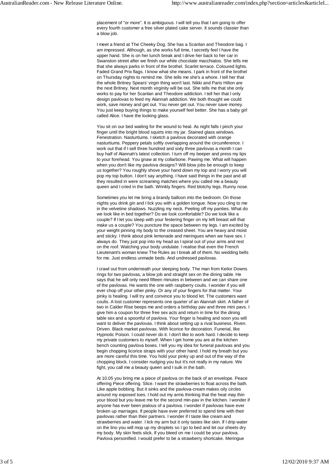placement of "or more". It is ambiguous. I will tell you that I am going to offer every fourth customer a free silver plated cake server. It sounds classier than a blow job.

I meet a friend at The Cheeky Dog. She has a Scanlan and Theodore bag. I am impressed. Although, as she works full time, I secretly feel I have the upper hand. She is on her lunch break and I drive her back to her car in Swanston street after we finish our white chocolate macchiatos. She tells me that she always parks in front of the brothel. Scarlet terrace. Coloured lights. Faded Grand Prix flags. I know what she means. I park in front of the brothel on Thursday nights to remind me. She tells me she's a whore. I tell her that the whole Britney Spears' virgin thing won't last. Nikki and Paris Hilton are the next Britney. Next month virginity will be out. She tells me that she only works to pay for her Scanlan and Theodore addiction. I tell her that I only design pavlovas to feed my Alannah addiction. We both thought we could work, save money and get out. You never get out. You never save money. You just keep buying things to make yourself feel better. She has a baby girl called Alice. I have the looking glass.

You sit on our bed waiting for the wound to heal. As night falls I pinch your finger until the bright blood squirts into my jar. Stained glass windows. Fenestration. Nasturtiums. I sketch a pavlova decorated with orange nasturtiums. Peppery petals softly overlapping around the circumference. I work out that if I sell three hundred and sixty three pavlovas a month I can buy half of Alannah's latest collection. I turn off my beeper and press my lips to your forehead. You gnaw at my collarbone. Pawing me. What will happen when you don't like my pavlova designs? Will blow jobs be enough to keep us together? You roughly shove your hand down my top and I worry you will pop my top button. I don't say anything. I have said things in the past and all they resulted in were screaming matches where you called me a beauty queen and I cried in the bath. Wrinkly fingers. Red blotchy legs. Runny nose.

Sometimes you let me bring a brandy balloon into the bedroom. On those nights you drink gin and I lick you with a golden tongue. Now you cling to me in the velvetine shadows. Nuzzling my neck. Peeling off my panties. What do we look like in bed together? Do we look comfortable? Do we look like a couple? If I let you sleep with your festering finger on my left breast will that make us a couple? You puncture the space between my legs. I am excited by your weight pinning my body to the creased sheet. You are heavy and moist and sticky. I think about pink lemonade and meringues when we have sex. I always do. They just pop into my head as I spiral out of your arms and rest on the roof. Watching your body undulate. I realise that even the French Lieutenant's woman knew The Rules as I break all of them. No wedding bells for me. Just endless unmade beds. And undressed pavlovas.

I crawl out from underneath your sleeping body. The man from Keilor Downs rings for two pavlovas, a blow job and straight sex on the dining table. He says that he will only need fifteen minutes in between and we can share one of the pavlovas. He wants the one with raspberry coulis. I wonder if you will ever chop off your other pinky. Or any of your fingers for that matter. Your pinky is healing. I will try and convince you to blood let. The customers want coulis. A lost customer represents one quarter of an Alannah skirt. A father of two in Calder Rise beeps me and orders a birthday pav and three mini pavs. I give him a coupon for three free sex acts and return in time for the dining table sex and a spoonful of pavlova. Your finger is healing and soon you will want to deliver the pavlovas. I think about setting up a rival business. Riven. Driven. Black market pavlovas. With licorice for decoration. Funerial, like Hypnotic Poison. I could never do it. I don't like to work hard. I decide to keep my private customers to myself. When I get home you are at the kitchen bench counting pavlova boxes. I tell you my idea for funeral pavlovas and you begin chopping licorice straps with your other hand. I hold my breath but you are more careful this time. You hold your pinky up and out of the way of the chopping block. I consider nudging you but it's not really in my nature. We fight, you call me a beauty queen and I sulk in the bath.

At 10.05 you bring me a piece of pavlova on the back of an envelope. Peace offering Piece offering. Slice. I want the strawberries to float across the bath. Like apple bobbing. But it sinks and the pavlova-cream makes oily circles around my exposed toes. I hold out my arms thinking that the heat may thin your blood but you leave me for the second min-pav in the kitchen. I wonder if anyone has ever been jealous of a pavlova. I wonder if pavlovas have ever broken up marriages. If people have ever preferred to spend time with their pavlovas rather than their partners. I wonder if I taste like cream and strawberries and water. I lick my arm but it only tastes like skin. If I drip water on the lino you will mop up my droplets so I go to bed and let our sheets dry my body. My skin feels slick. If you bleed on me I could be your pavlova. Pavlova personified. I would prefer to be a strawberry shortcake. Meringue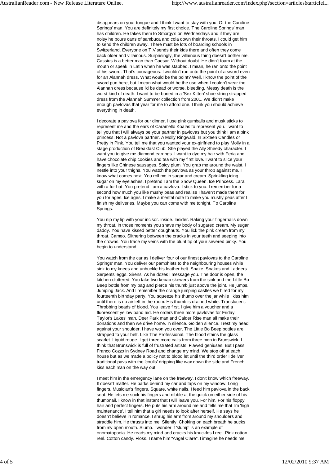disappears on your tongue and I think I want to stay with you. Or the Caroline Springs' man. You are definitely my first choice. The Caroline Springs' man has children. He takes them to Smorgy's on Wednesdays and if they are noisy he pours cans of sambuca and cola down their throats. I could get him to send the children away. There must be lots of boarding schools in Switzerland. Everyone on T.V sends their kids there and often they come back older and villainous. Surprisingly, the villainous thing doesn't bother me. Cassius is a better man than Caesar. Without doubt. He didn't foam at the mouth or speak in Latin when he was stabbed. I mean, he ran onto the point of his sword. That's courageous. I wouldn't run onto the point of a sword even for an Alannah dress. What would be the point? Well, I know the point of the sword pun here, but I mean what would be the use when I couldn't wear the Alannah dress because I'd be dead or worse, bleeding. Messy death is the worst kind of death. I want to be buried in a 'Sex Kitten' shoe string strapped dress from the Alannah Summer collection from 2001. We didn't make enough pavlovas that year for me to afford one. I think you should achieve everything in death.

I decorate a pavlova for our dinner. I use pink gumballs and musk sticks to represent me and the ears of Caramello Koalas to represent you. I want to tell you that I will always be your partner in pavlovas but you think I am a pink princess. Not a pavlova partner. A Molly Ringwald. In Sixteen Candles or Pretty in Pink. You tell me that you wanted your ex-girlfriend to play Molly in a stage production of Breakfast Club. She played the Ally Sheedy character. I want you to give me diamond earrings. I want to dye my hair with Feria and have chocolate chip cookies and tea with my first love. I want to slice your fingers like Chinese sausages. Spicy plum. You grab me around the waist. I nestle into your thighs. You watch the pavlova as your throb against me. I know what comes next. You roll me in sugar and cream. Sprinkling icing sugar on my eyelashes. I pretend I am the Snow Queen. Ice Princess. Lara with a fur hat. You pretend I am a pavlova. I stick to you. I remember for a second how much you like mushy peas and realise I haven't made them for you for ages. Ice ages. I make a mental note to make you mushy peas after I finish my deliveries. Maybe you can come with me tonight. To Caroline Springs.

You nip my lip with your incisor. Inside. Insider. Raking your fingernails down my throat. In those moments you shave my body of sugared cream. My sugar daddy. You have kissed better doughnuts. You lick the pink cream from my throat. Cameo. Slithering between the cracks in your teeth and seeping into the crowns. You trace my veins with the blunt tip of your severed pinky. You begin to understand.

You watch from the car as I deliver four of our finest pavlovas to the Caroline Springs' man. You deliver our pamphlets to the neighbouring houses while I sink to my knees and unbuckle his leather belt. Snake. Snakes and Ladders. Serpents' eggs. Sirens. As he dozes I message you. The door is open, the kitchen cluttered. You take two kebab skewers from the sink and the Little Bo Beep bottle from my bag and pierce his thumb just above the joint. He jumps. Jumping Jack. And I remember the orange jumping castles we hired for my fourteenth birthday party. You squeeze his thumb over the jar while I kiss him until there is no air left in the room. His thumb is drained white. Translucent. Throbbing beads of blood. You leave first. I give him a voucher and a fluorescent yellow band aid. He orders three more pavlovas for Friday. Taylor's Lakes' man, Deer Park man and Calder Rise man all make their donations and then we drive home. In silence. Golden silence. I rest my head against your shoulder. I have won you over. The Little Bo Beep bottles are strapped to your belt. Like The Professional. The blood stains the glass scarlet. Liquid rouge. I get three more calls from three men in Brunswick. I think that Brunswick is full of frustrated artists. Flawed geniuses. But I pass Franco Cozzo in Sydney Road and change my mind. We stop off at each house but as we made a policy not to blood let until the third order I deliver traditional pavs with the 'coulis' dripping like wax down the side and French kiss each man on the way out.

I meet him in the emergency lane on the freeway. I don't know which freeway. It doesn't matter. He parks behind my car and taps on my window. Long fingers. Musician's fingers. Square, white nails. I feed him pavlova in the back seat. He lets me suck his fingers and nibble at the quick on either side of his thumbnail. I know in that instant that I will leave you. For him. For his floppy hair and perfect fingers. He puts his arm around me and tells me that I'm 'high maintenance'. I tell him that a girl needs to look after herself. He says he doesn't believe in romance. I shrug his arm from around my shoulders and straddle him. He thrusts into me. Silently. Choking on each breath he sucks from my open mouth. Slump. I wonder if 'slump' is an example of onomatopoeia. He reads my mind and cracks his knuckles I reel. Pink cotton reel. Cotton candy. Floss. I name him "Angel Clare". I imagine he needs me